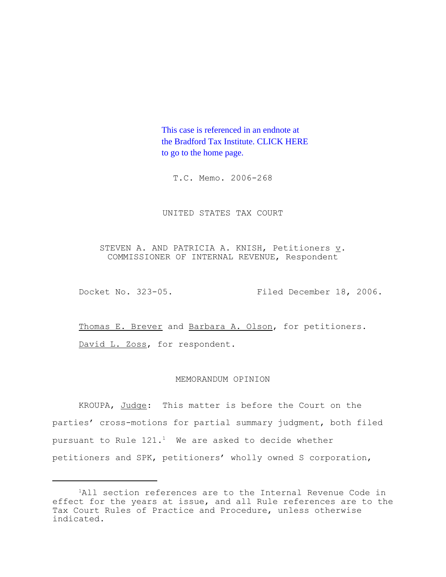This case is referenced in an endnote at [the Bradford Tax Institute. CLICK HERE](http://www.bradfordtaxinstitute.com/)  to go to the home page.

T.C. Memo. 2006-268

UNITED STATES TAX COURT

STEVEN A. AND PATRICIA A. KNISH, Petitioners  $\underline{v}$ . COMMISSIONER OF INTERNAL REVENUE, Respondent

Docket No. 323-05. Filed December 18, 2006.

Thomas E. Brever and Barbara A. Olson, for petitioners. David L. Zoss, for respondent.

#### MEMORANDUM OPINION

KROUPA, Judge: This matter is before the Court on the parties' cross-motions for partial summary judgment, both filed pursuant to Rule  $121.1$  We are asked to decide whether petitioners and SPK, petitioners' wholly owned S corporation,

<sup>&</sup>lt;sup>1</sup>All section references are to the Internal Revenue Code in effect for the years at issue, and all Rule references are to the Tax Court Rules of Practice and Procedure, unless otherwise indicated.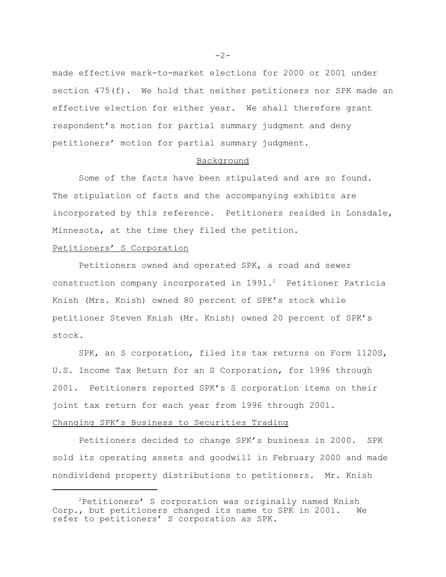made effective mark-to-market elections for 2000 or 2001 under section 475(f). We hold that neither petitioners nor SPK made an effective election for either year. We shall therefore grant respondent's motion for partial summary judgment and deny petitioners' motion for partial summary judgment.

### Background

Some of the facts have been stipulated and are so found. The stipulation of facts and the accompanying exhibits are incorporated by this reference. Petitioners resided in Lonsdale, Minnesota, at the time they filed the petition.

## Petitioners' S Corporation

Petitioners owned and operated SPK, a road and sewer construction company incorporated in 1991.<sup>2</sup> Petitioner Patricia Knish (Mrs. Knish) owned 80 percent of SPK's stock while petitioner Steven Knish (Mr. Knish) owned 20 percent of SPK's stock.

SPK, an S corporation, filed its tax returns on Form 1120S, U.S. Income Tax Return for an S Corporation, for 1996 through 2001. Petitioners reported SPK's S corporation items on their joint tax return for each year from 1996 through 2001.

# Changing SPK's Business to Securities Trading

Petitioners decided to change SPK's business in 2000. SPK sold its operating assets and goodwill in February 2000 and made nondividend property distributions to petitioners. Mr. Knish

 $-2-$ 

<sup>2</sup>Petitioners' S corporation was originally named Knish Corp., but petitioners changed its name to SPK in 2001. We refer to petitioners' S corporation as SPK.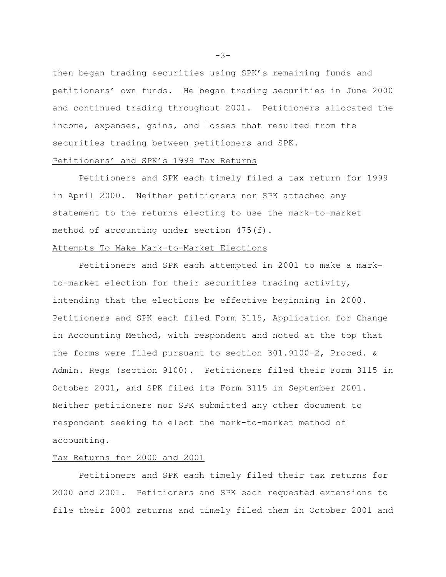then began trading securities using SPK's remaining funds and petitioners' own funds. He began trading securities in June 2000 and continued trading throughout 2001. Petitioners allocated the income, expenses, gains, and losses that resulted from the securities trading between petitioners and SPK.

### Petitioners' and SPK's 1999 Tax Returns

Petitioners and SPK each timely filed a tax return for 1999 in April 2000. Neither petitioners nor SPK attached any statement to the returns electing to use the mark-to-market method of accounting under section 475(f).

### Attempts To Make Mark-to-Market Elections

Petitioners and SPK each attempted in 2001 to make a markto-market election for their securities trading activity, intending that the elections be effective beginning in 2000. Petitioners and SPK each filed Form 3115, Application for Change in Accounting Method, with respondent and noted at the top that the forms were filed pursuant to section 301.9100-2, Proced. & Admin. Regs (section 9100). Petitioners filed their Form 3115 in October 2001, and SPK filed its Form 3115 in September 2001. Neither petitioners nor SPK submitted any other document to respondent seeking to elect the mark-to-market method of accounting.

#### Tax Returns for 2000 and 2001

Petitioners and SPK each timely filed their tax returns for 2000 and 2001. Petitioners and SPK each requested extensions to file their 2000 returns and timely filed them in October 2001 and

 $-3-$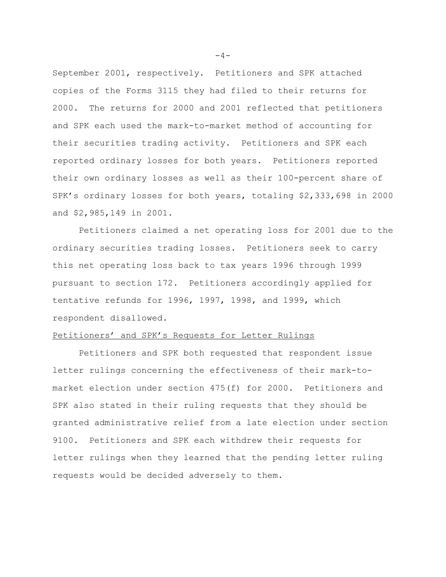September 2001, respectively. Petitioners and SPK attached copies of the Forms 3115 they had filed to their returns for 2000. The returns for 2000 and 2001 reflected that petitioners and SPK each used the mark-to-market method of accounting for their securities trading activity. Petitioners and SPK each reported ordinary losses for both years. Petitioners reported their own ordinary losses as well as their 100-percent share of SPK's ordinary losses for both years, totaling \$2,333,698 in 2000 and \$2,985,149 in 2001.

Petitioners claimed a net operating loss for 2001 due to the ordinary securities trading losses. Petitioners seek to carry this net operating loss back to tax years 1996 through 1999 pursuant to section 172. Petitioners accordingly applied for tentative refunds for 1996, 1997, 1998, and 1999, which respondent disallowed.

### Petitioners' and SPK's Requests for Letter Rulings

Petitioners and SPK both requested that respondent issue letter rulings concerning the effectiveness of their mark-tomarket election under section 475(f) for 2000. Petitioners and SPK also stated in their ruling requests that they should be granted administrative relief from a late election under section 9100. Petitioners and SPK each withdrew their requests for letter rulings when they learned that the pending letter ruling requests would be decided adversely to them.

 $-4-$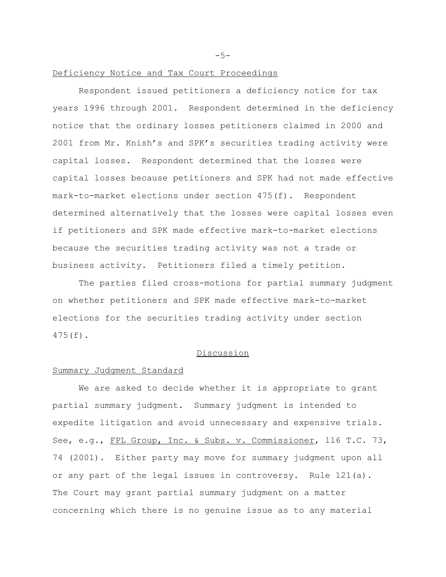$-5-$ 

## Deficiency Notice and Tax Court Proceedings

Respondent issued petitioners a deficiency notice for tax years 1996 through 2001. Respondent determined in the deficiency notice that the ordinary losses petitioners claimed in 2000 and 2001 from Mr. Knish's and SPK's securities trading activity were capital losses. Respondent determined that the losses were capital losses because petitioners and SPK had not made effective mark-to-market elections under section 475(f). Respondent determined alternatively that the losses were capital losses even if petitioners and SPK made effective mark-to-market elections because the securities trading activity was not a trade or business activity. Petitioners filed a timely petition.

The parties filed cross-motions for partial summary judgment on whether petitioners and SPK made effective mark-to-market elections for the securities trading activity under section 475(f).

# Discussion

#### Summary Judgment Standard

We are asked to decide whether it is appropriate to grant partial summary judgment. Summary judgment is intended to expedite litigation and avoid unnecessary and expensive trials. See, e.g., FPL Group, Inc. & Subs. v. Commissioner, 116 T.C. 73, 74 (2001). Either party may move for summary judgment upon all or any part of the legal issues in controversy. Rule 121(a). The Court may grant partial summary judgment on a matter concerning which there is no genuine issue as to any material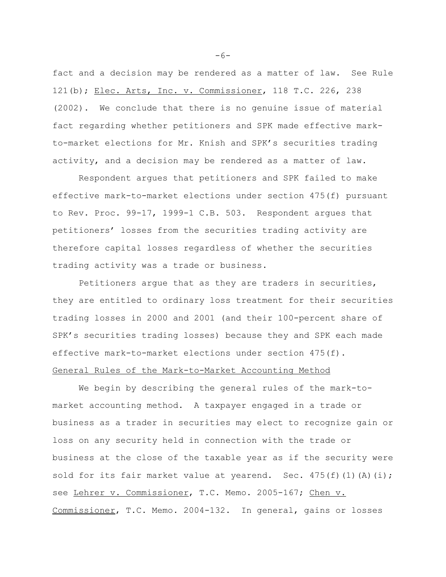fact and a decision may be rendered as a matter of law. See Rule 121(b); Elec. Arts, Inc. v. Commissioner, 118 T.C. 226, 238 (2002). We conclude that there is no genuine issue of material fact regarding whether petitioners and SPK made effective markto-market elections for Mr. Knish and SPK's securities trading activity, and a decision may be rendered as a matter of law.

Respondent argues that petitioners and SPK failed to make effective mark-to-market elections under section 475(f) pursuant to Rev. Proc. 99-17, 1999-1 C.B. 503. Respondent argues that petitioners' losses from the securities trading activity are therefore capital losses regardless of whether the securities trading activity was a trade or business.

Petitioners argue that as they are traders in securities, they are entitled to ordinary loss treatment for their securities trading losses in 2000 and 2001 (and their 100-percent share of SPK's securities trading losses) because they and SPK each made effective mark-to-market elections under section 475(f). General Rules of the Mark-to-Market Accounting Method

We begin by describing the general rules of the mark-tomarket accounting method. A taxpayer engaged in a trade or business as a trader in securities may elect to recognize gain or loss on any security held in connection with the trade or business at the close of the taxable year as if the security were sold for its fair market value at yearend. Sec.  $475(f)(1)(A)(i);$ see Lehrer v. Commissioner, T.C. Memo. 2005-167; Chen v. Commissioner, T.C. Memo. 2004-132. In general, gains or losses

 $-6-$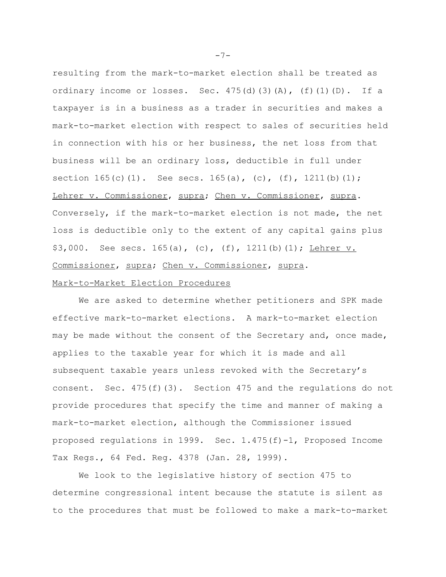resulting from the mark-to-market election shall be treated as ordinary income or losses. Sec.  $475(d)$ (3)(A), (f)(1)(D). If a taxpayer is in a business as a trader in securities and makes a mark-to-market election with respect to sales of securities held in connection with his or her business, the net loss from that business will be an ordinary loss, deductible in full under section  $165(c)(1)$ . See secs.  $165(a)$ , (c), (f),  $1211(b)(1)$ ; Lehrer v. Commissioner, supra; Chen v. Commissioner, supra. Conversely, if the mark-to-market election is not made, the net loss is deductible only to the extent of any capital gains plus  $$3,000.$  See secs.  $165(a)$ , (c), (f),  $1211(b)$  (1); Lehrer v. Commissioner, supra; Chen v. Commissioner, supra.

# Mark-to-Market Election Procedures

We are asked to determine whether petitioners and SPK made effective mark-to-market elections. A mark-to-market election may be made without the consent of the Secretary and, once made, applies to the taxable year for which it is made and all subsequent taxable years unless revoked with the Secretary's consent. Sec. 475(f)(3). Section 475 and the regulations do not provide procedures that specify the time and manner of making a mark-to-market election, although the Commissioner issued proposed regulations in 1999. Sec. 1.475(f)-1, Proposed Income Tax Regs., 64 Fed. Reg. 4378 (Jan. 28, 1999).

We look to the legislative history of section 475 to determine congressional intent because the statute is silent as to the procedures that must be followed to make a mark-to-market

-7-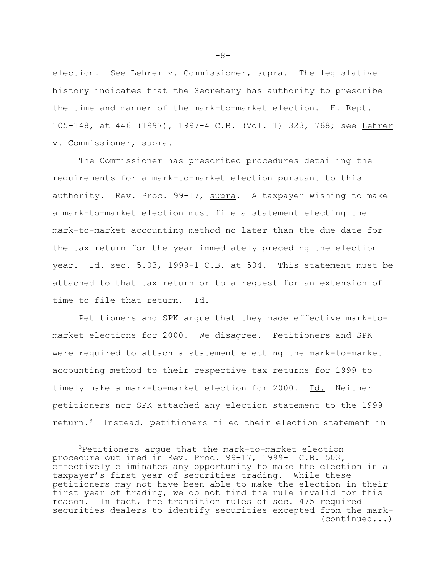election. See Lehrer v. Commissioner, supra. The legislative history indicates that the Secretary has authority to prescribe the time and manner of the mark-to-market election. H. Rept. 105-148, at 446 (1997), 1997-4 C.B. (Vol. 1) 323, 768; see Lehrer v. Commissioner, supra.

The Commissioner has prescribed procedures detailing the requirements for a mark-to-market election pursuant to this authority. Rev. Proc.  $99-17$ ,  $\frac{\text{supra}}{\text{sup}}$ . A taxpayer wishing to make a mark-to-market election must file a statement electing the mark-to-market accounting method no later than the due date for the tax return for the year immediately preceding the election year. Id. sec. 5.03, 1999-1 C.B. at 504. This statement must be attached to that tax return or to a request for an extension of time to file that return. Id.

Petitioners and SPK argue that they made effective mark-tomarket elections for 2000. We disagree. Petitioners and SPK were required to attach a statement electing the mark-to-market accounting method to their respective tax returns for 1999 to timely make a mark-to-market election for 2000. Id. Neither petitioners nor SPK attached any election statement to the 1999 return.3 Instead, petitioners filed their election statement in

-8-

<sup>3</sup>Petitioners argue that the mark-to-market election procedure outlined in Rev. Proc. 99-17, 1999-1 C.B. 503, effectively eliminates any opportunity to make the election in a taxpayer's first year of securities trading. While these petitioners may not have been able to make the election in their first year of trading, we do not find the rule invalid for this reason. In fact, the transition rules of sec. 475 required securities dealers to identify securities excepted from the mark- (continued...)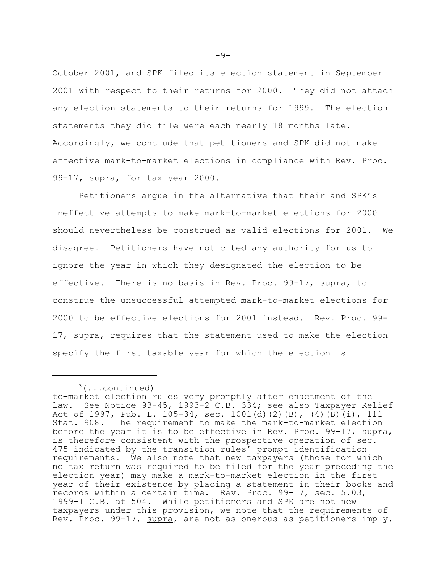October 2001, and SPK filed its election statement in September 2001 with respect to their returns for 2000. They did not attach any election statements to their returns for 1999. The election statements they did file were each nearly 18 months late. Accordingly, we conclude that petitioners and SPK did not make effective mark-to-market elections in compliance with Rev. Proc. 99-17, supra, for tax year 2000.

Petitioners argue in the alternative that their and SPK's ineffective attempts to make mark-to-market elections for 2000 should nevertheless be construed as valid elections for 2001. We disagree. Petitioners have not cited any authority for us to ignore the year in which they designated the election to be effective. There is no basis in Rev. Proc. 99-17, supra, to construe the unsuccessful attempted mark-to-market elections for 2000 to be effective elections for 2001 instead. Rev. Proc. 99- 17, supra, requires that the statement used to make the election specify the first taxable year for which the election is

 $-9-$ 

 $3$ (...continued)

to-market election rules very promptly after enactment of the law. See Notice 93-45, 1993-2 C.B. 334; see also Taxpayer Relief Act of 1997, Pub. L. 105-34, sec. 1001(d)(2)(B), (4)(B)(i), 111 Stat. 908. The requirement to make the mark-to-market election before the year it is to be effective in Rev. Proc. 99-17, supra, is therefore consistent with the prospective operation of sec. 475 indicated by the transition rules' prompt identification requirements. We also note that new taxpayers (those for which no tax return was required to be filed for the year preceding the election year) may make a mark-to-market election in the first year of their existence by placing a statement in their books and records within a certain time. Rev. Proc. 99-17, sec. 5.03, 1999-1 C.B. at 504. While petitioners and SPK are not new taxpayers under this provision, we note that the requirements of Rev. Proc. 99-17, supra, are not as onerous as petitioners imply.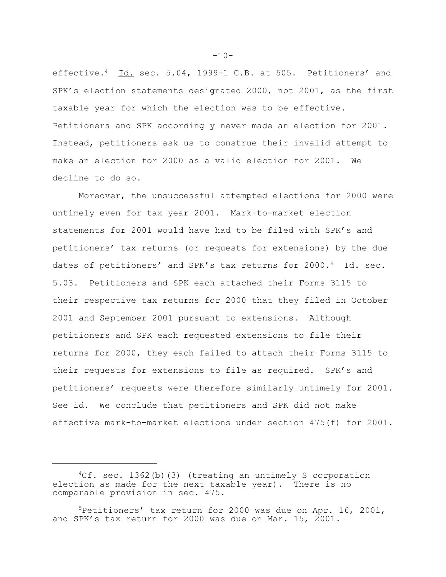effective.4 Id. sec. 5.04, 1999-1 C.B. at 505. Petitioners' and SPK's election statements designated 2000, not 2001, as the first taxable year for which the election was to be effective. Petitioners and SPK accordingly never made an election for 2001. Instead, petitioners ask us to construe their invalid attempt to make an election for 2000 as a valid election for 2001. We decline to do so.

Moreover, the unsuccessful attempted elections for 2000 were untimely even for tax year 2001. Mark-to-market election statements for 2001 would have had to be filed with SPK's and petitioners' tax returns (or requests for extensions) by the due dates of petitioners' and SPK's tax returns for 2000.<sup>5</sup> Id. sec. 5.03. Petitioners and SPK each attached their Forms 3115 to their respective tax returns for 2000 that they filed in October 2001 and September 2001 pursuant to extensions. Although petitioners and SPK each requested extensions to file their returns for 2000, they each failed to attach their Forms 3115 to their requests for extensions to file as required. SPK's and petitioners' requests were therefore similarly untimely for 2001. See id. We conclude that petitioners and SPK did not make effective mark-to-market elections under section 475(f) for 2001.

 $-10-$ 

 ${}^{4}Cf.$  sec. 1362(b)(3) (treating an untimely S corporation election as made for the next taxable year). There is no comparable provision in sec. 475.

<sup>5</sup>Petitioners' tax return for 2000 was due on Apr. 16, 2001, and SPK's tax return for 2000 was due on Mar. 15, 2001.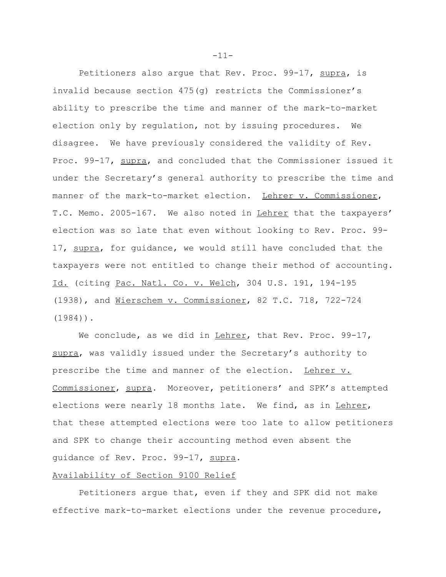Petitioners also argue that Rev. Proc. 99-17, supra, is invalid because section 475(g) restricts the Commissioner's ability to prescribe the time and manner of the mark-to-market election only by regulation, not by issuing procedures. We disagree. We have previously considered the validity of Rev. Proc. 99-17, supra, and concluded that the Commissioner issued it under the Secretary's general authority to prescribe the time and manner of the mark-to-market election. Lehrer v. Commissioner, T.C. Memo. 2005-167. We also noted in Lehrer that the taxpayers' election was so late that even without looking to Rev. Proc. 99- 17, supra, for guidance, we would still have concluded that the taxpayers were not entitled to change their method of accounting. Id. (citing Pac. Natl. Co. v. Welch, 304 U.S. 191, 194-195 (1938), and Wierschem v. Commissioner, 82 T.C. 718, 722-724 (1984)).

We conclude, as we did in  $L$ ehrer, that Rev. Proc. 99-17, supra, was validly issued under the Secretary's authority to prescribe the time and manner of the election. Lehrer v. Commissioner, supra. Moreover, petitioners' and SPK's attempted elections were nearly 18 months late. We find, as in Lehrer, that these attempted elections were too late to allow petitioners and SPK to change their accounting method even absent the guidance of Rev. Proc. 99-17, supra.

#### Availability of Section 9100 Relief

Petitioners argue that, even if they and SPK did not make effective mark-to-market elections under the revenue procedure,

-11-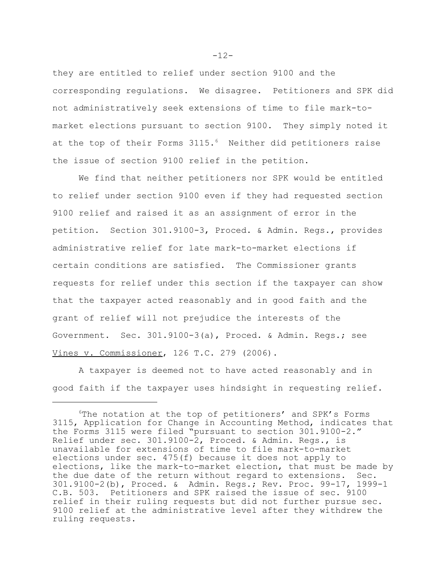they are entitled to relief under section 9100 and the corresponding regulations. We disagree. Petitioners and SPK did not administratively seek extensions of time to file mark-tomarket elections pursuant to section 9100. They simply noted it at the top of their Forms 3115.<sup>6</sup> Neither did petitioners raise the issue of section 9100 relief in the petition.

We find that neither petitioners nor SPK would be entitled to relief under section 9100 even if they had requested section 9100 relief and raised it as an assignment of error in the petition. Section 301.9100-3, Proced. & Admin. Regs., provides administrative relief for late mark-to-market elections if certain conditions are satisfied. The Commissioner grants requests for relief under this section if the taxpayer can show that the taxpayer acted reasonably and in good faith and the grant of relief will not prejudice the interests of the Government. Sec. 301.9100-3(a), Proced. & Admin. Regs.; see Vines v. Commissioner, 126 T.C. 279 (2006).

A taxpayer is deemed not to have acted reasonably and in good faith if the taxpayer uses hindsight in requesting relief.

-12-

<sup>&</sup>lt;sup>6</sup>The notation at the top of petitioners' and SPK's Forms 3115, Application for Change in Accounting Method, indicates that the Forms 3115 were filed "pursuant to section 301.9100-2." Relief under sec. 301.9100-2, Proced. & Admin. Regs., is unavailable for extensions of time to file mark-to-market elections under sec. 475(f) because it does not apply to elections, like the mark-to-market election, that must be made by the due date of the return without regard to extensions. Sec. 301.9100-2(b), Proced. & Admin. Regs.; Rev. Proc. 99-17, 1999-1 C.B. 503. Petitioners and SPK raised the issue of sec. 9100 relief in their ruling requests but did not further pursue sec. 9100 relief at the administrative level after they withdrew the ruling requests.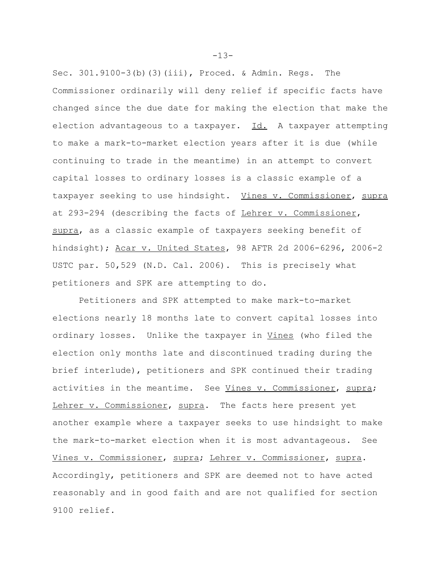Sec. 301.9100-3(b)(3)(iii), Proced. & Admin. Regs. The Commissioner ordinarily will deny relief if specific facts have changed since the due date for making the election that make the election advantageous to a taxpayer.  $Id.$  A taxpayer attempting to make a mark-to-market election years after it is due (while continuing to trade in the meantime) in an attempt to convert capital losses to ordinary losses is a classic example of a taxpayer seeking to use hindsight. Vines v. Commissioner, supra at 293-294 (describing the facts of Lehrer v. Commissioner, supra, as a classic example of taxpayers seeking benefit of hindsight); Acar v. United States, 98 AFTR 2d 2006-6296, 2006-2 USTC par. 50,529 (N.D. Cal. 2006). This is precisely what petitioners and SPK are attempting to do.

Petitioners and SPK attempted to make mark-to-market elections nearly 18 months late to convert capital losses into ordinary losses. Unlike the taxpayer in Vines (who filed the election only months late and discontinued trading during the brief interlude), petitioners and SPK continued their trading activities in the meantime. See Vines v. Commissioner, supra; Lehrer v. Commissioner, supra. The facts here present yet another example where a taxpayer seeks to use hindsight to make the mark-to-market election when it is most advantageous. See Vines v. Commissioner, supra; Lehrer v. Commissioner, supra. Accordingly, petitioners and SPK are deemed not to have acted reasonably and in good faith and are not qualified for section 9100 relief.

-13-